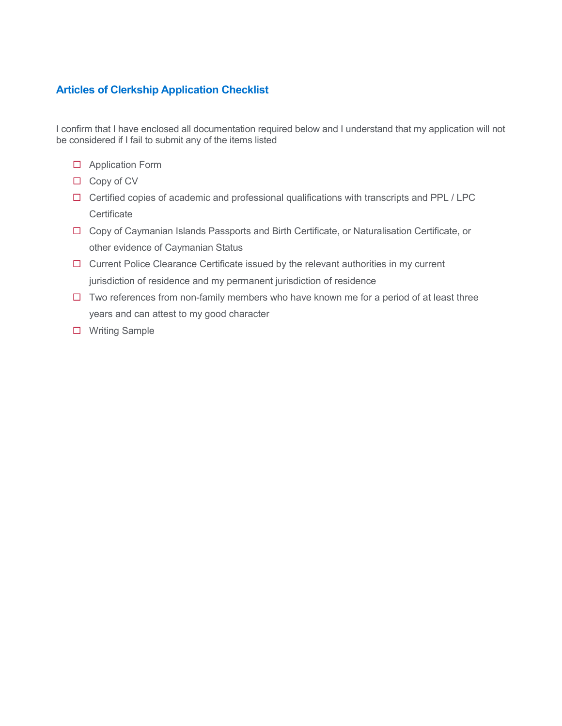### **Articles of Clerkship Application Checklist**

I confirm that I have enclosed all documentation required below and I understand that my application will not be considered if I fail to submit any of the items listed

- □ Application Form
- $\Box$  Copy of CV
- $\Box$  Certified copies of academic and professional qualifications with transcripts and PPL / LPC **Certificate**
- □ Copy of Caymanian Islands Passports and Birth Certificate, or Naturalisation Certificate, or other evidence of Caymanian Status
- $\Box$  Current Police Clearance Certificate issued by the relevant authorities in my current jurisdiction of residence and my permanent jurisdiction of residence
- $\Box$  Two references from non-family members who have known me for a period of at least three years and can attest to my good character
- □ Writing Sample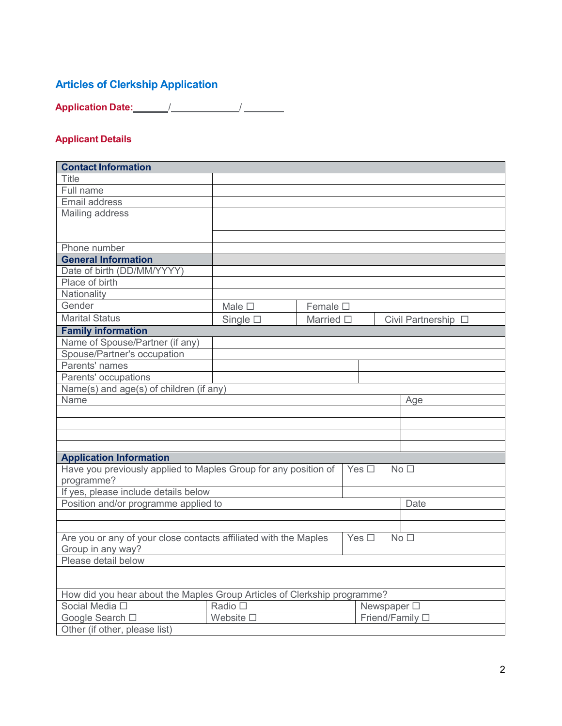# **Articles of Clerkship Application**

**Application Date:** / /

# **Applicant Details**

| <b>Contact Information</b>                                       |                                                                                     |                                |               |                     |  |
|------------------------------------------------------------------|-------------------------------------------------------------------------------------|--------------------------------|---------------|---------------------|--|
| <b>Title</b>                                                     |                                                                                     |                                |               |                     |  |
| Full name                                                        |                                                                                     |                                |               |                     |  |
| Email address                                                    |                                                                                     |                                |               |                     |  |
| Mailing address                                                  |                                                                                     |                                |               |                     |  |
|                                                                  |                                                                                     |                                |               |                     |  |
|                                                                  |                                                                                     |                                |               |                     |  |
| Phone number                                                     |                                                                                     |                                |               |                     |  |
| <b>General Information</b>                                       |                                                                                     |                                |               |                     |  |
| Date of birth (DD/MM/YYYY)                                       |                                                                                     |                                |               |                     |  |
| Place of birth                                                   |                                                                                     |                                |               |                     |  |
| Nationality                                                      |                                                                                     |                                |               |                     |  |
| Gender                                                           | Male $\square$                                                                      | Female $\square$               |               |                     |  |
| <b>Marital Status</b>                                            | Single $\square$                                                                    | Married $\square$              |               | Civil Partnership □ |  |
| <b>Family information</b>                                        |                                                                                     |                                |               |                     |  |
| Name of Spouse/Partner (if any)                                  |                                                                                     |                                |               |                     |  |
| Spouse/Partner's occupation                                      |                                                                                     |                                |               |                     |  |
| Parents' names                                                   |                                                                                     |                                |               |                     |  |
| Parents' occupations                                             |                                                                                     |                                |               |                     |  |
| Name(s) and age(s) of children (if any)                          |                                                                                     |                                |               |                     |  |
| Name                                                             |                                                                                     |                                |               | Age                 |  |
|                                                                  |                                                                                     |                                |               |                     |  |
|                                                                  |                                                                                     |                                |               |                     |  |
|                                                                  |                                                                                     |                                |               |                     |  |
|                                                                  |                                                                                     |                                |               |                     |  |
| <b>Application Information</b>                                   |                                                                                     |                                |               |                     |  |
| Have you previously applied to Maples Group for any position of  |                                                                                     |                                | Yes $\Box$    | No <sub>1</sub>     |  |
| programme?                                                       |                                                                                     |                                |               |                     |  |
| If yes, please include details below                             |                                                                                     |                                |               |                     |  |
| Position and/or programme applied to                             |                                                                                     |                                |               | Date                |  |
|                                                                  |                                                                                     |                                |               |                     |  |
|                                                                  |                                                                                     |                                |               |                     |  |
| Are you or any of your close contacts affiliated with the Maples |                                                                                     |                                | Yes $\square$ | No <sub>1</sub>     |  |
| Group in any way?<br>Please detail below                         |                                                                                     |                                |               |                     |  |
|                                                                  |                                                                                     |                                |               |                     |  |
|                                                                  |                                                                                     |                                |               |                     |  |
|                                                                  |                                                                                     |                                |               |                     |  |
| Social Media □                                                   | How did you hear about the Maples Group Articles of Clerkship programme?<br>Radio □ |                                |               |                     |  |
|                                                                  | Website $\square$                                                                   | Newspaper □<br>Friend/Family □ |               |                     |  |
| Google Search □                                                  |                                                                                     |                                |               |                     |  |
| Other (if other, please list)                                    |                                                                                     |                                |               |                     |  |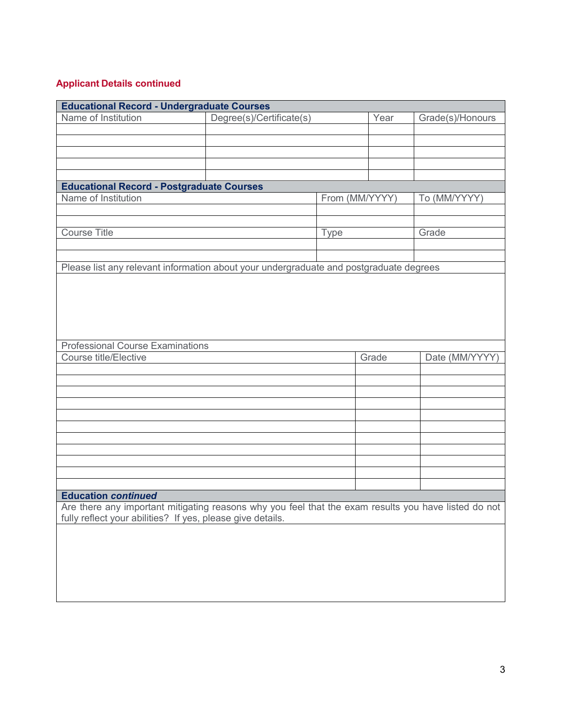## **Applicant Details continued**

|                                                                                                      | <b>Educational Record - Undergraduate Courses</b> |                |       |                  |  |  |  |  |
|------------------------------------------------------------------------------------------------------|---------------------------------------------------|----------------|-------|------------------|--|--|--|--|
| Name of Institution                                                                                  | Degree(s)/Certificate(s)                          |                | Year  | Grade(s)/Honours |  |  |  |  |
|                                                                                                      |                                                   |                |       |                  |  |  |  |  |
|                                                                                                      |                                                   |                |       |                  |  |  |  |  |
|                                                                                                      |                                                   |                |       |                  |  |  |  |  |
|                                                                                                      |                                                   |                |       |                  |  |  |  |  |
|                                                                                                      |                                                   |                |       |                  |  |  |  |  |
| <b>Educational Record - Postgraduate Courses</b>                                                     |                                                   |                |       |                  |  |  |  |  |
| Name of Institution                                                                                  |                                                   | From (MM/YYYY) |       | To (MM/YYYY)     |  |  |  |  |
|                                                                                                      |                                                   |                |       |                  |  |  |  |  |
|                                                                                                      |                                                   |                |       |                  |  |  |  |  |
| <b>Course Title</b>                                                                                  |                                                   | <b>Type</b>    |       | Grade            |  |  |  |  |
|                                                                                                      |                                                   |                |       |                  |  |  |  |  |
| Please list any relevant information about your undergraduate and postgraduate degrees               |                                                   |                |       |                  |  |  |  |  |
|                                                                                                      |                                                   |                |       |                  |  |  |  |  |
|                                                                                                      |                                                   |                |       |                  |  |  |  |  |
|                                                                                                      |                                                   |                |       |                  |  |  |  |  |
|                                                                                                      |                                                   |                |       |                  |  |  |  |  |
|                                                                                                      |                                                   |                |       |                  |  |  |  |  |
|                                                                                                      |                                                   |                |       |                  |  |  |  |  |
| <b>Professional Course Examinations</b>                                                              |                                                   |                |       |                  |  |  |  |  |
| Course title/Elective                                                                                |                                                   |                | Grade | Date (MM/YYYY)   |  |  |  |  |
|                                                                                                      |                                                   |                |       |                  |  |  |  |  |
|                                                                                                      |                                                   |                |       |                  |  |  |  |  |
|                                                                                                      |                                                   |                |       |                  |  |  |  |  |
|                                                                                                      |                                                   |                |       |                  |  |  |  |  |
|                                                                                                      |                                                   |                |       |                  |  |  |  |  |
|                                                                                                      |                                                   |                |       |                  |  |  |  |  |
|                                                                                                      |                                                   |                |       |                  |  |  |  |  |
|                                                                                                      |                                                   |                |       |                  |  |  |  |  |
|                                                                                                      |                                                   |                |       |                  |  |  |  |  |
|                                                                                                      |                                                   |                |       |                  |  |  |  |  |
|                                                                                                      |                                                   |                |       |                  |  |  |  |  |
| <b>Education continued</b>                                                                           |                                                   |                |       |                  |  |  |  |  |
| Are there any important mitigating reasons why you feel that the exam results you have listed do not |                                                   |                |       |                  |  |  |  |  |
| fully reflect your abilities? If yes, please give details.                                           |                                                   |                |       |                  |  |  |  |  |
|                                                                                                      |                                                   |                |       |                  |  |  |  |  |
|                                                                                                      |                                                   |                |       |                  |  |  |  |  |
|                                                                                                      |                                                   |                |       |                  |  |  |  |  |
|                                                                                                      |                                                   |                |       |                  |  |  |  |  |
|                                                                                                      |                                                   |                |       |                  |  |  |  |  |
|                                                                                                      |                                                   |                |       |                  |  |  |  |  |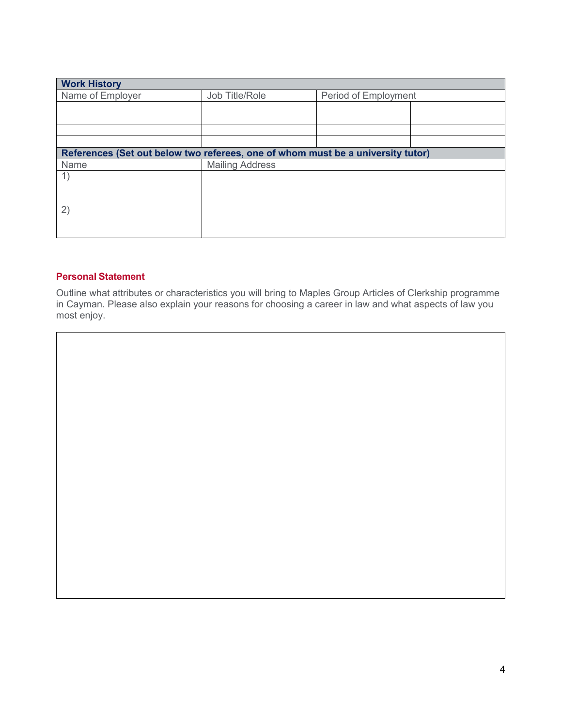| <b>Work History</b>                                                             |                        |                      |  |  |  |  |
|---------------------------------------------------------------------------------|------------------------|----------------------|--|--|--|--|
| Name of Employer                                                                | Job Title/Role         | Period of Employment |  |  |  |  |
|                                                                                 |                        |                      |  |  |  |  |
|                                                                                 |                        |                      |  |  |  |  |
|                                                                                 |                        |                      |  |  |  |  |
|                                                                                 |                        |                      |  |  |  |  |
|                                                                                 |                        |                      |  |  |  |  |
| References (Set out below two referees, one of whom must be a university tutor) |                        |                      |  |  |  |  |
| Name                                                                            | <b>Mailing Address</b> |                      |  |  |  |  |
| 1)                                                                              |                        |                      |  |  |  |  |
|                                                                                 |                        |                      |  |  |  |  |
|                                                                                 |                        |                      |  |  |  |  |
|                                                                                 |                        |                      |  |  |  |  |
| 2)                                                                              |                        |                      |  |  |  |  |
|                                                                                 |                        |                      |  |  |  |  |
|                                                                                 |                        |                      |  |  |  |  |
|                                                                                 |                        |                      |  |  |  |  |

#### **Personal Statement**

Outline what attributes or characteristics you will bring to Maples Group Articles of Clerkship programme in Cayman. Please also explain your reasons for choosing a career in law and what aspects of law you most enjoy.